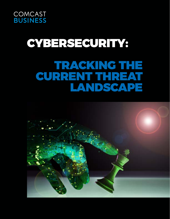

# GYBERSECURITY: TRACKING THE CURRENT THREAT LANDSCAPE

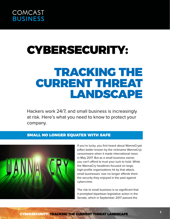

# CYBERSECURITY:

## TRACKING THE CURRENT THREAT LANDSCAPE

Hackers work 24/7, and small business is increasingly at risk. Here's what you need to know to protect your company.

## SMALL NO LONGER EQUATES WITH SAFE



If you're lucky, you first heard about WannaCrypt (often better known by the nickname WannaCry) ransomware when it made international news in May 2017. But as a small business owner, you can't afford to trust your luck to hold. While the WannaCry headlines focused on large, high-profile organizations hit by that attack, small businesses' size no longer affords them the security they enjoyed in the past against cybercrime.

The risk to small business is so significant that it prompted bipartisan legislative action in the Senate, which in September 2017 passed the

CYBERSECURITY: TRACKING THE CURRENT THREAT LANDSCAPE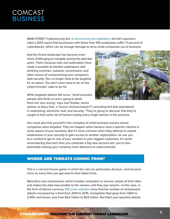MAIN STREET Cybersecurity Act. [In announcing the legislation](https://www.schatz.senate.gov/press-releases/schatz-risch-thune-cantwell-nelson-introduce-legislation-to-improve-cybersecurity-resources-for-small-businesses), the bill's sponsors cited a 2012 report that businesses with fewer than 100 employees suffer 71 percent of cyberattacks, which can do enough damage to drive small companies out of business.

And the threat landscape has become even more challenging to navigate during the past few years. That's because bots and automation have made it possible to blanket cyberspace with phishing schemes, malware, ransomware, and other means of compromising your company's data security. You no longer have to be targeted for an attack. You don't even have to be on the cybercriminals' radar to be hit.

While targeted attacks still occur, "small business people who think no one's going to phish them are very wrong," says Joel Snyder, senior



partner at Opus One, a Tucson, Arizona-based IT consulting firm that specialized in networking, electronic mail, and security. "They're going to discover that they're caught in that same net of hackers trying every single domain in the universe.

You could also find yourself in the company of small business owners whose companies were targeted. That can happen when hackers have a specific interest in some aspect of your business. But it's more common when they attempt to exploit weaknesses in your security to gain access to another organization—to use you as a conduit to get to one of your vendors or your biggest customers. It's worth remembering that each time you celebrate a big new account win, you're also potentially making your company more attractive to cybercriminals.

### WHERE ARE THREATS COMING FROM?

This is a cat-and-mouse game in which the cats are particularly devious—and become more so every time you get wise to their latest tricks.

WannaCry was ransomware, which invades computers or servers, seizes all their data, and makes the data inaccessible to the owners until they pay ransom—in this case, in the form of bitcoin currency. [FBI crime statistics](https://www.fbi.gov/contact-us/field-offices/cleveland/news/press-releases/ransomware-latest-cyber-extortion-tool) show that the number of ransomware attacks increased by a third from 2014 to 2015. Complaints filed grew from 1,800 to 2,400, and losses rose from \$23 million to \$24 million. But that's just reported attacks.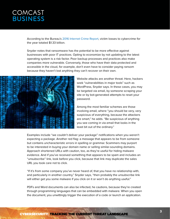According to the Bureau's [2016 Internet Crime Report,](https://www.fbi.gov/news/stories/ic3-releases-2016-internet-crime-report) victim losses to cybercrime for the year totaled \$1.33 billion.

Snyder notes that ransomware has the potential to be more effective against businesses with poor IT practices. Opting to economize by not updating to the latest operating system is a risk factor. Poor backup processes and practices also make companies more vulnerable. Conversely, those who have their data protected and accessible in the cloud, for example, don't even have to consider paying ransom because they haven't lost anything they can't recover on their own.



Website attacks are another threat. Here, hackers seek "vulnerabilities in major tools" such as WordPress, Snyder says. In these cases, you may be targeted via email, by someone scraping your site or by bot-generated attempts to reset your password.

Among the most familiar schemes are those involving email, where "you should be very, very suspicious of everything, because the attackers are smart," he adds. "Be suspicious of anything you see coming in via email that looks in the least bit out of the ordinary."

Examples include "we couldn't deliver your package" notifications when you weren't expecting a package. Another red flag: a message that appears to be from someone but contains uncharacteristic errors in spelling or grammar. Scammers may purport to be interested in buying your domain name or selling similar-sounding domains. Approach shortened URLs with caution, too, as they're useful for hiding malware evidence. And if you've received something that appears to be spam and includes an "unsubscribe" link, look before you click, because that link may duplicate the sales URL you took care not to click.

"If it's from some company you've never heard of, that you have no relationship with, and particularly in another country," Snyder says, "then probably the unsubscribe link will either get you some malware if you click on it or won't do anything useful."

PDFs and Word documents can also be infected, he cautions, because they're created through programming languages that can be embedded with malware. When you open the document, you unwittingly trigger the execution of a code or launch an application.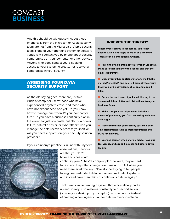And this should go without saying, but those phone calls from the Microsoft or Apple security team are not from the Microsoft or Apple security team. None of your operating system or software vendors will contact you by phone about security compromises on your computer or other devices. Anyone who does contact you is seeking access to your system to create, not resolve, a compromise in your security.

#### ASSESSING YOUR DATA SECURITY SUPPORT

As the old saying goes, there are just two kinds of computer users: those who have experienced a system crash, and those who have not experienced one yet. Do you know how to manage one when it's your company's turn? Do you have a business continuity plan in the event not just of a crash, but also of a power failure, natural disaster, or cyberattack? Can you manage the data recovery process yourself, or will you need support from your security solution provider?

If your company's practice is in line with Snyder's



observations, chances are that you don't have a business data

#### WHERE'S THE THREAT?

**Where cybersecurity is concerned, you're not dealing with a landscape as much as a landmine. Threats can be embedded anywhere.**

**n** Phishing attacks attempt to lure you in via email. **Make sure that you know the sender and that the email is legitimate.**

**n** Check your inbox subfolders for any mail that's **marked "infected," and delete it promptly to ensure that you don't inadvertently click on and open it later.**

**n** Set up the right level of junk mail filtering to re**duce email inbox clutter and distractions from your business focus.** 

**n** Make sure your security system includes a **means of preventing you from accessing malicious web pages.** 

**n** Also confirm that your security system is scan**ning attachments such as Word documents and PDFs for malware.** 

**EXERCISE CAUTO EXAMPLE SHARING MEDIA CONTRACTS EXECUTED EXECUTED tos, videos, and sound files scanned before downloading.**

continuity plan. "They're complex plans to write, they're hard to test, and they often change over time and so fail when you need them most," he says. "I've stopped trying to tell people to engineer redundant data centers and redundant systems, and instead have them think of continuous data integrity."

That means implementing a system that automatically backs up and, ideally, also restores constantly to a second server (or from your desktop to your laptop). In other words, instead of creating a contingency plan for data recovery, create an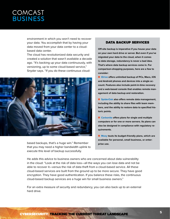environment in which you won't need to recover your data. You accomplish that by having your data moved from your data center to a cloudbased data center.

The cloud has revolutionized data security and created a solution that wasn't available a decade ago. "It's backing up your data continuously, with versioning, up to some cloud-based service," Snyder says. "If you do these continuous cloud-



based backups, that's a huge win." Remember that you may need a higher bandwidth uplink to execute this level of backup successfully.

#### DATA BACKUP SERVICES

**Off-site backup is imperative if you house your data on your own hard drive or server. But even if you've migrated your data to the cloud, when it comes to data storage, redundancy is never a bad idea. That's where data backup services come in. For comparison-shopping purposes, here are a few to consider:**

 $\blacksquare$  **[IDrive](https://www.idrive.com/) offers unlimited backup of PCs, Macs, iOS and Android phones and devices into a single account. Features also include point-in-time recovery and a web-based console that enables remote management of data backup and restoration.**

■ [SpiderOak](https://spideroak.com/) also offers remote data management, **including the ability to share files with team members, and the ability to restore data to specified historic points.** 

■ [Carbonite](https://www.carbonite.com/) offers plans for single and multiple **computers or for one or more servers. Its plans can also be designed in compliance with regulatory requirements.** 

**n** Mozy touts its budget-friendly plans, which are **available for personal, small business, or enterprise use.** 

He adds this advice to business owners who are concerned about data vulnerability in the cloud: "Look at the risk of data loss—all the ways you can lose data and not be able to recover it—versus the risk of data theft from a cloud-based service. All these cloud-based services are built from the ground up to be more secure. They have good encryption. They have good authentication. If you balance these risks, the continuous cloud-based backup services are a huge win for small business owners."

For an extra measure of security and redundancy, you can also back up to an external hard drive.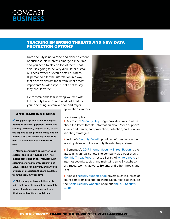### TRACKING EMERGING THREATS AND NEW DATA PROTECTION OPTIONS

Data security is not a "one-and-done" element of business. New threats emerge all the time, and you need to stay on top of them. That said, "it's going to be very difficult for a small business owner or even a small business IT person to filter the information in a way that doesn't distract them from what's most important," Snyder says. "That's not to say they shouldn't try."

He recommends familiarizing yourself with the security bulletins and alerts offered by your operating system vendor and major



#### ANTI-HACKING HACKS

✔ **Keep your system patched and your operating system upgraded. "What's absolutely incredible," Snyder says, "is that the top five to ten problems they find on people's PCs are inevitably things that were patched at least six months before."**

✔ **Maintain end-point security on your system, and keep it turned on. "That means some kind of anti-malware with scanning of attachments, scanning of URLs, looking for malware, and any other kinds of protection that are available from the tool," Snyder says.** 

✔ **Make sure you have a full security suite that protects against the complete range of malware scanning and has fitering and blocking capabilities.** 

Some examples:

application vendors.

 $\blacksquare$  Microsoft's [Security Help](https://support.microsoft.com/en-us/products/security) page provides links to news about the latest threats, information about "tech support" scams and trends, and protection, detection, and troubleshooting strategies.

■ Adobe's [Security Bulletin](https://helpx.adobe.com/security/products/acrobat/apsb17-36.html) provides information on the latest updates and the security threats they address.

■ Symantec's [2017 Internet Security Threat Report](https://www.symantec.com/security-center/threat-report) is the latest in its annual series. The company also publishes a [Monthly Threat Report](https://www.symantec.com/security_response/publications/monthlythreatreport.jsp), hosts a library of [white papers](https://www.symantec.com/security-center/white-papers) on Internet security topics, and maintains an A-Z database of viruses, worms, adware, Trojans, and other threats and risks.

**n** Apple's [security support page](https://support.apple.com/en-us/HT201220) covers such issues as account compromises and phishing. Resources also include the [Apple Security Updates](https://support.apple.com/en-us/HT201222) page and [the iOS Security](https://www.apple.com/business/docs/iOS_Security_Guide.pdf)  [Guide.](https://www.apple.com/business/docs/iOS_Security_Guide.pdf)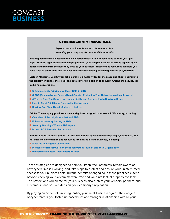#### CYBERSECURITY RESOURCES

**Explore these online references to learn more about protecting your company, its data, and its reputation.**

**Hacking never takes a vacation or even a coffee break. But it doesn't have to keep you up at night. With the right information and preparation, your company can stand strong against cyber attacks and minimize the risks they pose to your business. These online resources can help you keep track of the threats and the best practices for avoiding becoming a victim of cybercrime.** 

**BizTech Magazine: Joel Snyder article archive. Snyder writes for the magazine about networking, the digital workspace, the cloud, and data centers in addition to security. Among the security topics he has covered are:**

- [5 Cybersecurity Priorities for Every SMB in 2017](https://biztechmagazine.com/article/2016/11/5-cybersecurity-priorities-every-smb-2017)
- **n [6 DNS \[Domain Name System\] Must-Do's for Protecting Your Networks in a Hostile World](https://biztechmagazine.com/article/2017/08/6-dns-must-do-s-protecting-your-networks-hostile-world)**
- $\blacksquare$  **[4 Tips to Give You Greater Network Visibility and Prepare You to Survive a Breach](https://biztechmagazine.com/article/2016/08/4-tips-give-you-greater-network-visibility-and-prepare-you-survive-breach)**
- $\blacksquare$  **[How to Fight Off Attacks from Inside the Network](https://biztechmagazine.com/article/2016/03/how-fight-attacks-inside-network)**
- [Staying One Step Ahead of Modern Hackers](https://biztechmagazine.com/article/2014/03/staying-one-step-ahead-modern-hackers)

**Adobe. The company provides advice and guides designed to enhance PDF security, including:**

- **n** [Overview of Security in Acrobat and PDFs](https://helpx.adobe.com/acrobat/using/overview-security-acrobat-pdfs.html)
- $n$  **Enhanced Security Setting in PDFs**
- **n** Security Warnings When a PDF Opens
- **n** [Protect PDF Files with Permissions](https://helpx.adobe.com/acrobat/how-to/security-permissions-protect-pdf-files.html)

**Federal Bureau of Investigation. As "the lead federal agency for investigating cyberattacks," the FBI publishes information and resources for individuals and business, including:**

- $\blacksquare$  [What we investigate: Cybercrime](https://www.fbi.gov/investigate/cyber)
- $\blacksquare$  **[Incidents of Ransomware on the Rise: Protect Yourself and Your Organization](https://www.fbi.gov/news/stories/incidents-of-ransomware-on-the-rise)**
- **n** [Ransomware: Latest Cyber Extortion Tool](https://www.fbi.gov/contact-us/field-offices/cleveland/news/press-releases/ransomware-latest-cyber-extortion-tool)

These strategies are designed to help you keep track of threats, remain aware of how cybercrime is evolving, and take steps to protect and ensure your uninterrupted access to your business data. But the benefits of engaging in these practices extend beyond keeping your system malware-free and your intellectual property available. The protections you create for your business also protect your vendors, partners, and customers—and so, by extension, your company's reputation.

By playing an active role in safeguarding your small business against the dangers of cyber threats, you foster increased trust and stronger relationships with all your